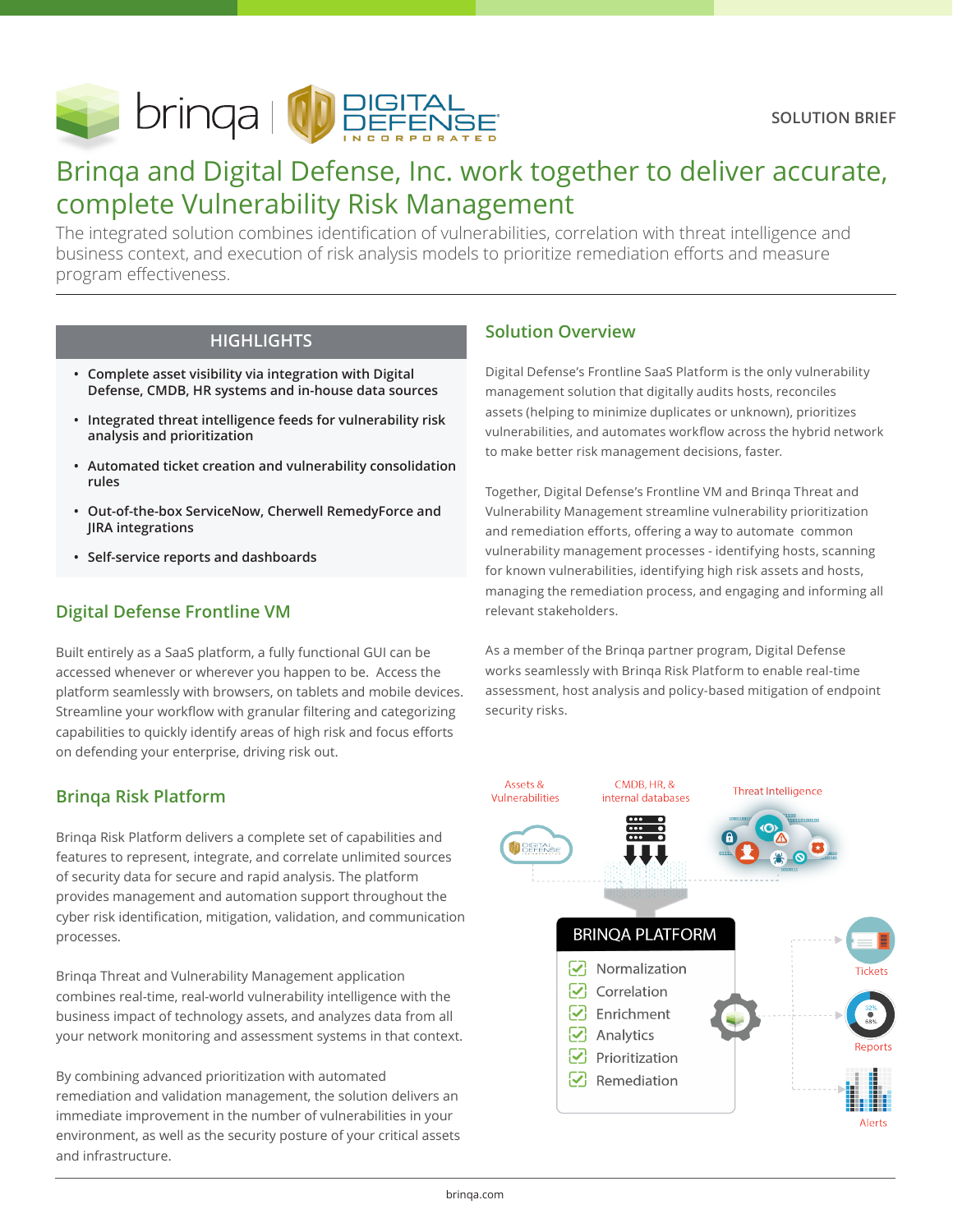

# Brinqa and Digital Defense, Inc. work together to deliver accurate, complete Vulnerability Risk Management

The integrated solution combines identification of vulnerabilities, correlation with threat intelligence and business context, and execution of risk analysis models to prioritize remediation efforts and measure program effectiveness.

- **• Complete asset visibility via integration with Digital Defense, CMDB, HR systems and in-house data sources**
- **• Integrated threat intelligence feeds for vulnerability risk analysis and prioritization**
- **• Automated ticket creation and vulnerability consolidation rules**
- **• Out-of-the-box ServiceNow, Cherwell RemedyForce and JIRA integrations**
- **• Self-service reports and dashboards**

# **Digital Defense Frontline VM**

Built entirely as a SaaS platform, a fully functional GUI can be accessed whenever or wherever you happen to be. Access the platform seamlessly with browsers, on tablets and mobile devices. Streamline your workflow with granular filtering and categorizing capabilities to quickly identify areas of high risk and focus efforts on defending your enterprise, driving risk out.

# **Brinqa Risk Platform**

Brinqa Risk Platform delivers a complete set of capabilities and features to represent, integrate, and correlate unlimited sources of security data for secure and rapid analysis. The platform provides management and automation support throughout the cyber risk identification, mitigation, validation, and communication processes.

Brinqa Threat and Vulnerability Management application combines real-time, real-world vulnerability intelligence with the business impact of technology assets, and analyzes data from all your network monitoring and assessment systems in that context.

By combining advanced prioritization with automated remediation and validation management, the solution delivers an immediate improvement in the number of vulnerabilities in your environment, as well as the security posture of your critical assets and infrastructure.

# **HIGHLIGHTS Solution Overview**

Digital Defense's Frontline SaaS Platform is the only vulnerability management solution that digitally audits hosts, reconciles assets (helping to minimize duplicates or unknown), prioritizes vulnerabilities, and automates workflow across the hybrid network to make better risk management decisions, faster.

Together, Digital Defense's Frontline VM and Brinqa Threat and Vulnerability Management streamline vulnerability prioritization and remediation efforts, offering a way to automate common vulnerability management processes - identifying hosts, scanning for known vulnerabilities, identifying high risk assets and hosts, managing the remediation process, and engaging and informing all relevant stakeholders.

As a member of the Brinqa partner program, Digital Defense works seamlessly with Brinqa Risk Platform to enable real-time assessment, host analysis and policy-based mitigation of endpoint security risks.